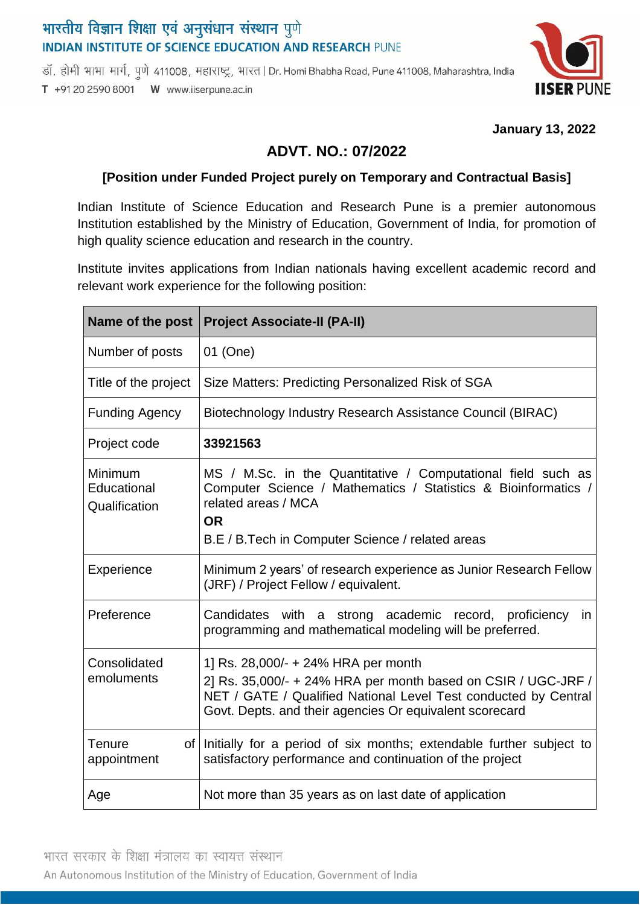# भारतीय विज्ञान शिक्षा एवं अनुसंधान संस्थान पुणे **INDIAN INSTITUTE OF SCIENCE EDUCATION AND RESEARCH PUNE**

डॉ. होमी भाभा मार्ग, पूणे 411008, महाराष्ट्र, भारत | Dr. Homi Bhabha Road, Pune 411008, Maharashtra, India T +91 20 2590 8001 W www.iiserpune.ac.in



#### **January 13, 2022**

# **ADVT. NO.: 07/2022**

### **[Position under Funded Project purely on Temporary and Contractual Basis]**

Indian Institute of Science Education and Research Pune is a premier autonomous Institution established by the Ministry of Education, Government of India, for promotion of high quality science education and research in the country.

Institute invites applications from Indian nationals having excellent academic record and relevant work experience for the following position:

| Name of the post                        | <b>Project Associate-II (PA-II)</b>                                                                                                                                                                                                |
|-----------------------------------------|------------------------------------------------------------------------------------------------------------------------------------------------------------------------------------------------------------------------------------|
| Number of posts                         | 01 (One)                                                                                                                                                                                                                           |
| Title of the project                    | Size Matters: Predicting Personalized Risk of SGA                                                                                                                                                                                  |
| <b>Funding Agency</b>                   | Biotechnology Industry Research Assistance Council (BIRAC)                                                                                                                                                                         |
| Project code                            | 33921563                                                                                                                                                                                                                           |
| Minimum<br>Educational<br>Qualification | MS / M.Sc. in the Quantitative / Computational field such as<br>Computer Science / Mathematics / Statistics & Bioinformatics /<br>related areas / MCA<br><b>OR</b><br>B.E / B.Tech in Computer Science / related areas             |
| Experience                              | Minimum 2 years' of research experience as Junior Research Fellow<br>(JRF) / Project Fellow / equivalent.                                                                                                                          |
| Preference                              | Candidates with a strong academic record, proficiency<br>in<br>programming and mathematical modeling will be preferred.                                                                                                            |
| Consolidated<br>emoluments              | 1] Rs. 28,000/- + 24% HRA per month<br>2] Rs. 35,000/- + 24% HRA per month based on CSIR / UGC-JRF /<br>NET / GATE / Qualified National Level Test conducted by Central<br>Govt. Depts. and their agencies Or equivalent scorecard |
| Tenure<br>appointment                   | of Initially for a period of six months; extendable further subject to<br>satisfactory performance and continuation of the project                                                                                                 |
| Age                                     | Not more than 35 years as on last date of application                                                                                                                                                                              |